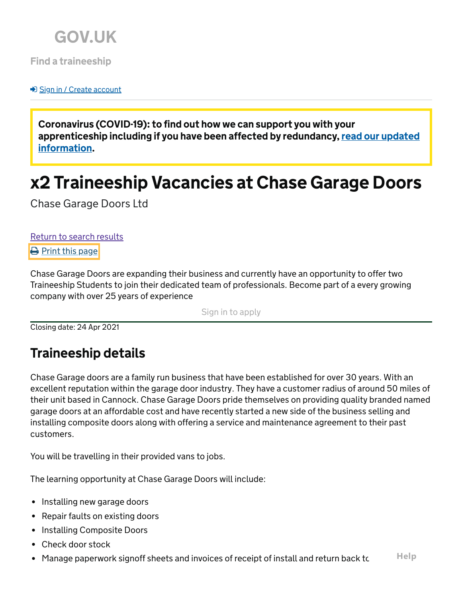

[Find a traineeship](https://www.findapprenticeship.service.gov.uk/traineeshipsearch)

**→**D [Sign in / Create account](https://www.findapprenticeship.service.gov.uk/signin?ReturnUrl=%2Ftraineeship%2F-549760)

Coronavirus (COVID-19): to find out how we can support you with your apprenticeship including if you have been affected by redundancy, <u>read our updated</u> information.

# x2 Traineeship Vacancies at Chase Garage Doors

Chase Garage Doors Ltd

[Return to search results](https://www.findapprenticeship.service.gov.uk/traineeships/search?Hash=-306889837&Location=WS1%203BE&PageNumber=1&ResultsPerPage=5&SearchAction=Search&SortType=Distance&WithinDistance=40&DisabilityConfidentOnly=False) **[Print this page](https://www.findapprenticeship.service.gov.uk/traineeship/-549760)** 

Chase Garage Doors are expanding their business and currently have an opportunity to offer two Traineeship Students to join their dedicated team of professionals. Become part of a every growing company with over 25 years of experience

[Sign in to apply](https://www.findapprenticeship.service.gov.uk/traineeship/apply/-549760)

Closing date: 24 Apr 2021

# Traineeship details

Chase Garage doors are a family run business that have been established for over 30 years. With an excellent reputation within the garage door industry. They have a customer radius of around 50 miles of their unit based in Cannock. Chase Garage Doors pride themselves on providing quality branded named garage doors at an affordable cost and have recently started a new side of the business selling and installing composite doors along with offering a service and maintenance agreement to their past customers.

You will be travelling in their provided vans to jobs.

The learning opportunity at Chase Garage Doors will include:

- Installing new garage doors
- Repair faults on existing doors
- Installing Composite Doors
- Check door stock
- Manage paperwork signoff sheets and invoices of receipt of install and return back to **Help**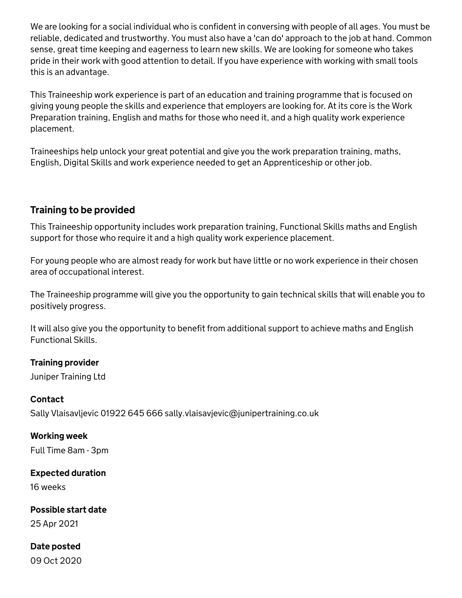We are looking for a social individual who is confident in conversing with people of all ages. You must be reliable, dedicated and trustworthy. You must also have a 'can do' approach to the job at hand. Common sense, great time keeping and eagerness to learn new skills. We are looking for someone who takes pride in their work with good attention to detail. If you have experience with working with small tools this is an advantage.

This Traineeship work experience is part of an education and training programme that is focused on giving young people the skills and experience that employers are looking for. At its core is the Work Preparation training, English and maths for those who need it, and a high quality work experience placement.

Traineeships help unlock your great potential and give you the work preparation training, maths, English, Digital Skills and work experience needed to get an Apprenticeship or other job.

# Training to be provided

This Traineeship opportunity includes work preparation training, Functional Skills maths and English support for those who require it and a high quality work experience placement.

For young people who are almost ready for work but have little or no work experience in their chosen area of occupational interest.

The Traineeship programme will give you the opportunity to gain technical skills that will enable you to positively progress.

It will also give you the opportunity to benefit from additional support to achieve maths and English Functional Skills.

# Training provider

Juniper Training Ltd

#### Contact

Sally Vlaisavljevic 01922 645 666 sally.vlaisavjevic@junipertraining.co.uk

#### Working week

Full Time 8am - 3pm

### Expected duration

16 weeks

### Possible start date

25 Apr 2021

# Date posted

09 Oct 2020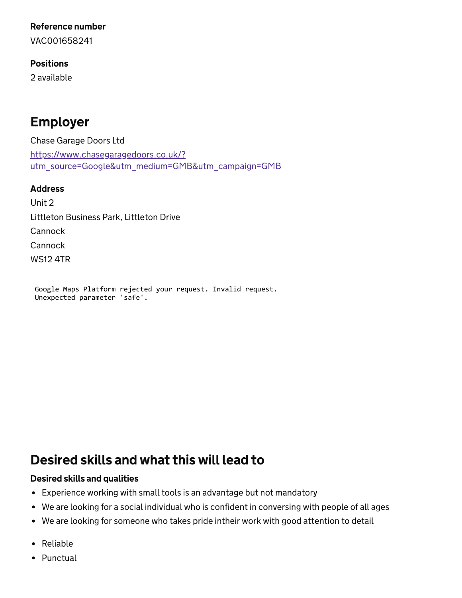#### Reference number

VAC001658241

#### Positions

2 available

# Employer

Chase Garage Doors Ltd https://www.chasegaragedoors.co.uk/? [utm\\_source=Google&utm\\_medium=GMB&utm\\_campaign=GMB](https://www.chasegaragedoors.co.uk/?utm_source=Google&utm_medium=GMB&utm_campaign=GMB)

#### Address

Unit 2 Littleton Business Park, Littleton Drive Cannock **Cannock** WS12 4TR

Google Maps Platform rejected your request. Invalid request. Unexpected parameter 'safe'.

# Desired skills and what this will lead to

#### Desired skills and qualities

- Experience working with small tools is an advantage but not mandatory
- We are looking for a social individual who is confident in conversing with people of all ages
- We are looking for someone who takes pride intheir work with good attention to detail
- Reliable
- Punctual